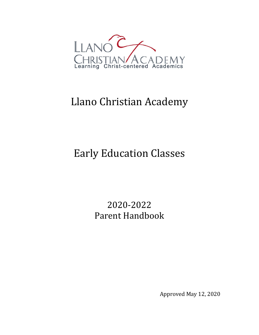

# Llano Christian Academy

# Early Education Classes

2020-2022 Parent Handbook

Approved May 12, 2020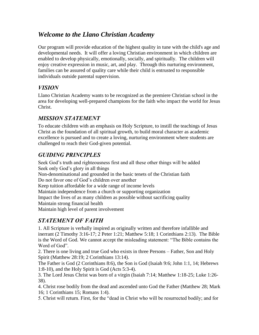# *Welcome to the Llano Christian Academy*

Our program will provide education of the highest quality in tune with the child's age and developmental needs. It will offer a loving Christian environment in which children are enabled to develop physically, emotionally, socially, and spiritually. The children will enjoy creative expression in music, art, and play. Through this nurturing environment, families can be assured of quality care while their child is entrusted to responsible individuals outside parental supervision.

# *VISION*

Llano Christian Academy wants to be recognized as the premiere Christian school in the area for developing well-prepared champions for the faith who impact the world for Jesus Christ.

# *MISSION STATEMENT*

To educate children with an emphasis on Holy Scripture, to instill the teachings of Jesus Christ as the foundation of all spiritual growth, to build moral character as academic excellence is pursued and to create a loving, nurturing environment where students are challenged to reach their God-given potential.

# *GUIDING PRINCIPLES*

Seek God's truth and righteousness first and all these other things will be added Seek only God's glory in all things Non-denominational and grounded in the basic tenets of the Christian faith Do not favor one of God's children over another Keep tuition affordable for a wide range of income levels Maintain independence from a church or supporting organization Impact the lives of as many children as possible without sacrificing quality Maintain strong financial health Maintain high level of parent involvement

# *STATEMENT OF FAITH*

1. All Scripture is verbally inspired as originally written and therefore infallible and inerrant (2 Timothy 3:16-17; 2 Peter 1:21; Matthew 5:18; 1 Corinthians 2:13). The Bible is the Word of God. We cannot accept the misleading statement: "The Bible contains the Word of God".

2. There is one living and true God who exists in three Persons – Father, Son and Holy Spirit (Matthew 28:19; 2 Corinthians 13:14).

The Father is God (2 Corinthians 8:6), the Son is God (Isaiah 9:6; John 1:1, 14; Hebrews 1:8-10), and the Holy Spirit is God (Acts 5:3-4).

3. The Lord Jesus Christ was born of a virgin (Isaiah 7:14; Matthew 1:18-25; Luke 1:26- 38).

4. Christ rose bodily from the dead and ascended unto God the Father (Matthew 28; Mark 16; 1 Corinthians 15; Romans 1:4).

5. Christ will return. First, for the "dead in Christ who will be resurrected bodily; and for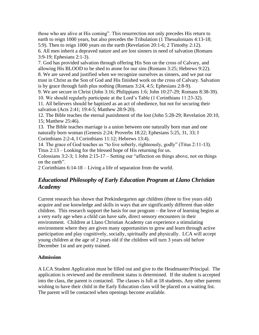those who are alive at His coming". This resurrection not only precedes His return to earth to reign 1000 years, but also precedes the Tribulation (1 Thessalonians 4:13-18; 5:9). Then to reign 1000 years on the earth (Revelation 20:1-6; 2 Timothy 2:12). 6. All men inherit a depraved nature and are lost sinners in need of salvation (Romans 3:9-19; Ephesians 2:1-3).

7. God has provided salvation through offering His Son on the cross of Calvary, and allowing His BLOOD to be shed to atone for our sins (Romans 3:25; Hebrews 9:22). 8. We are saved and justified when we recognize ourselves as sinners, and we put our trust in Christ as the Son of God and His finished work on the cross of Calvary. Salvation is by grace through faith plus nothing (Romans 3:24, 4:5; Ephesians 2:8-9).

9. We are secure in Christ (John 3:16; Philippians 1:6; John 10:27-29; Romans 8:38-39).

10. We should regularly participate at the Lord's Table (1 Corinthians 11:23-32). 11. All believers should be baptized as an act of obedience, but not for securing their salvation (Acts 2:41; 19:4-5; Matthew 28:9-20).

12. The Bible teaches the eternal punishment of the lost (John 5:28-29; Revelation 20:10, 15; Matthew 25:46).

13. The Bible teaches marriage is a union between one naturally born man and one naturally born woman (Genesis 2:24; Proverbs 18:22; Ephesians 5:25, 31, 33; I Corinthians 2:2-4, I Corinthians 11:12; Hebrews 13:4).

14. The grace of God teaches us "to live soberly, righteously, godly" (Titus 2:11-13). Titus 2:13 – Looking for the blessed hope of His returning for us.

Colossians 3:2-3; 1 John 2:15-17 – Setting our "affection on things above, not on things on the earth".

2 Corinthians 6:14-18 – Living a life of separation from the world.

## *Educational Philosophy of Early Education Program at Llano Christian Academy*

Current research has shown that Prekindergarten age children (three to five years old) acquire and use knowledge and skills in ways that are significantly different than older children. This research support the basis for our program – the love of learning begins at a very early age when a child can have safe, direct sensory encounters in their environment. Children at Llano Christian Academy can experience a stimulating environment where they are given many opportunities to grow and learn through active participation and play cognitively, socially, spiritually and physically. LCA will accept young children at the age of 2 years old if the children will turn 3 years old before December 1st and are potty trained.

## **Admission**

A LCA Student Application must be filled out and give to the Headmaster/Principal. The application is reviewed and the enrollment status is determined. If the student is accepted into the class, the parent is contacted. The classes is full at 18 students. Any other parents wishing to have their child in the Early Education class will be placed on a waiting list. The parent will be contacted when openings become available.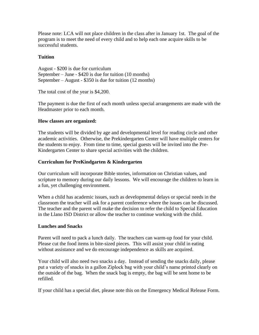Please note: LCA will not place children in the class after in January 1st. The goal of the program is to meet the need of every child and to help each one acquire skills to be successful students.

### **Tuition**

August - \$200 is due for curriculum September – June - \$420 is due for tuition (10 months) September – August - \$350 is due for tuition (12 months)

The total cost of the year is \$4,200.

The payment is due the first of each month unless special arrangements are made with the Headmaster prior to each month.

#### **How classes are organized:**

The students will be divided by age and developmental level for reading circle and other academic activities. Otherwise, the Prekindergarten Center will have multiple centers for the students to enjoy. From time to time, special guests will be invited into the Pre-Kindergarten Center to share special activities with the children.

#### **Curriculum for PreKindgarten & Kindergarten**

Our curriculum will incorporate Bible stories, information on Christian values, and scripture to memory during our daily lessons. We will encourage the children to learn in a fun, yet challenging environment.

When a child has academic issues, such as developmental delays or special needs in the classroom the teacher will ask for a parent conference where the issues can be discussed. The teacher and the parent will make the decision to refer the child to Special Education in the Llano ISD District or allow the teacher to continue working with the child.

#### **Lunches and Snacks**

Parent will need to pack a lunch daily. The teachers can warm-up food for your child. Please cut the food items in bite-sized pieces. This will assist your child in eating without assistance and we do encourage independence as skills are acquired.

Your child will also need two snacks a day. Instead of sending the snacks daily, please put a variety of snacks in a gallon Ziplock bag with your child's name printed clearly on the outside of the bag. When the snack bag is empty, the bag will be sent home to be refilled.

If your child has a special diet, please note this on the Emergency Medical Release Form.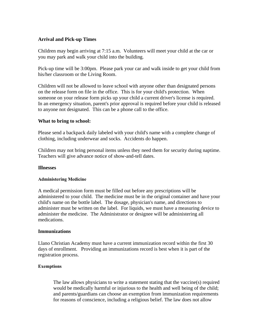### **Arrival and Pick-up Times**

Children may begin arriving at 7:15 a.m. Volunteers will meet your child at the car or you may park and walk your child into the building.

Pick-up time will be 3:00pm. Please park your car and walk inside to get your child from his/her classroom or the Living Room.

Children will not be allowed to leave school with anyone other than designated persons on the release form on file in the office. This is for your child's protection. When someone on your release form picks up your child a current driver's license is required. In an emergency situation, parent's prior approval is required before your child is released to anyone not designated. This can be a phone call to the office.

#### **What to bring to school:**

Please send a backpack daily labeled with your child's name with a complete change of clothing, including underwear and socks. Accidents do happen.

Children may not bring personal items unless they need them for security during naptime. Teachers will give advance notice of show-and-tell dates.

#### **Illnesses**

#### **Administering Medicine**

A medical permission form must be filled out before any prescriptions will be administered to your child. The medicine must be in the original container and have your child's name on the bottle label. The dosage, physician's name, and directions to administer must be written on the label. For liquids, we must have a measuring device to administer the medicine. The Administrator or designee will be administering all medications.

#### **Immunizations**

Llano Christian Academy must have a current immunization record within the first 30 days of enrollment. Providing an immunizations record is best when it is part of the registration process.

#### **Exemptions**

The law allows physicians to write a statement stating that the vaccine(s) required would be medically harmful or injurious to the health and well being of the child; and parents/guardians can choose an exemption from immunization requirements for reasons of conscience, including a religious belief. The law does not allow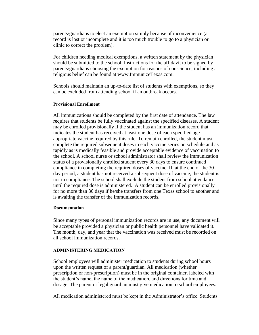parents/guardians to elect an exemption simply because of inconvenience (a record is lost or incomplete and it is too much trouble to go to a physician or clinic to correct the problem).

For children needing medical exemptions, a written statement by the physician should be submitted to the school. Instructions for the affidavit to be signed by parents/guardians choosing the exemption for reasons of conscience, including a religious belief can be found at www.ImmunizeTexas.com.

Schools should maintain an up-to-date list of students with exemptions, so they can be excluded from attending school if an outbreak occurs.

#### **Provisional Enrollment**

All immunizations should be completed by the first date of attendance. The law requires that students be fully vaccinated against the specified diseases. A student may be enrolled provisionally if the student has an immunization record that indicates the student has received at least one dose of each specified ageappropriate vaccine required by this rule. To remain enrolled, the student must complete the required subsequent doses in each vaccine series on schedule and as rapidly as is medically feasible and provide acceptable evidence of vaccination to the school. A school nurse or school administrator shall review the immunization status of a provisionally enrolled student every 30 days to ensure continued compliance in completing the required doses of vaccine. If, at the end of the 30 day period, a student has not received a subsequent dose of vaccine, the student is not in compliance. The school shall exclude the student from school attendance until the required dose is administered. A student can be enrolled provisionally for no more than 30 days if he/she transfers from one Texas school to another and is awaiting the transfer of the immunization records.

#### **Documentation**

Since many types of personal immunization records are in use, any document will be acceptable provided a physician or public health personnel have validated it. The month, day, and year that the vaccination was received must be recorded on all school immunization records.

#### **ADMINISTERING MEDICATION**

School employees will administer medication to students during school hours upon the written request of a parent/guardian. All medication (whether prescription or non-prescription) must be in the original container, labeled with the student's name, the name of the medication, and directions for time and dosage. The parent or legal guardian must give medication to school employees.

All medication administered must be kept in the Administrator's office. Students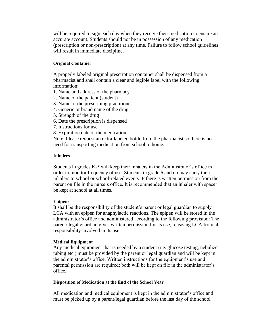will be required to sign each day when they receive their medication to ensure an accurate account. Students should not be in possession of any medication (prescription or non-prescription) at any time. Failure to follow school guidelines will result in immediate discipline.

#### **Original Container**

A properly labeled original prescription container shall be dispensed from a pharmacist and shall contain a clear and legible label with the following information:

- 1. Name and address of the pharmacy
- 2. Name of the patient (student)
- 3. Name of the prescribing practitioner
- 4. Generic or brand name of the drug
- 5. Strength of the drug
- 6. Date the prescription is dispensed
- 7. Instructions for use
- 8. Expiration date of the medication

Note: Please request an extra-labeled bottle from the pharmacist so there is no need for transporting medication from school to home.

#### **Inhalers**

Students in grades K-5 will keep their inhalers in the Administrator's office in order to monitor frequency of use. Students in grade 6 and up may carry their inhalers to school or school-related events IF there is written permission from the parent on file in the nurse's office. It is recommended that an inhaler with spacer be kept at school at all times.

#### **Epipens**

It shall be the responsibility of the student's parent or legal guardian to supply LCA with an epipen for anaphylactic reactions. The epipen will be stored in the administrator's office and administered according to the following provision: The parent/ legal guardian gives written permission for its use, releasing LCA from all responsibility involved in its use.

#### **Medical Equipment**

Any medical equipment that is needed by a student (i.e. glucose testing, nebulizer tubing etc.) must be provided by the parent or legal guardian and will be kept in the administrator's office. Written instructions for the equipment's use and parental permission are required; both will be kept on file in the administrator's office.

#### **Disposition of Medication at the End of the School Year**

All medication and medical equipment is kept in the administrator's office and must be picked up by a parent/legal guardian before the last day of the school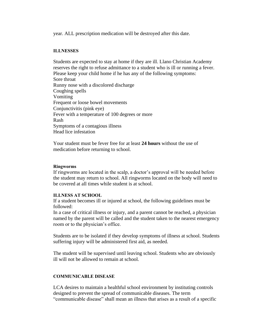year. ALL prescription medication will be destroyed after this date.

#### **ILLNESSES**

Students are expected to stay at home if they are ill. Llano Christian Academy reserves the right to refuse admittance to a student who is ill or running a fever. Please keep your child home if he has any of the following symptoms: Sore throat Runny nose with a discolored discharge Coughing spells Vomiting Frequent or loose bowel movements Conjunctivitis (pink eye) Fever with a temperature of 100 degrees or more Rash Symptoms of a contagious illness Head lice infestation

Your student must be fever free for at least **24 hours** without the use of medication before returning to school.

#### **Ringworms**

If ringworms are located in the scalp, a doctor's approval will be needed before the student may return to school. All ringworms located on the body will need to be covered at all times while student is at school.

#### **ILLNESS AT SCHOOL**

If a student becomes ill or injured at school, the following guidelines must be followed:

In a case of critical illness or injury, and a parent cannot be reached, a physician named by the parent will be called and the student taken to the nearest emergency room or to the physician's office.

Students are to be isolated if they develop symptoms of illness at school. Students suffering injury will be administered first aid, as needed.

The student will be supervised until leaving school. Students who are obviously ill will not be allowed to remain at school.

#### **COMMUNICABLE DISEASE**

LCA desires to maintain a healthful school environment by instituting controls designed to prevent the spread of communicable diseases. The term "communicable disease" shall mean an illness that arises as a result of a specific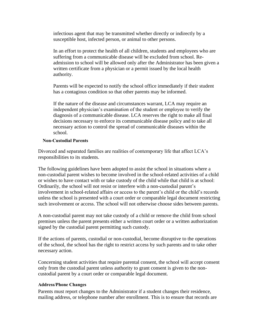infectious agent that may be transmitted whether directly or indirectly by a susceptible host, infected person, or animal to other persons.

In an effort to protect the health of all children, students and employees who are suffering from a communicable disease will be excluded from school. Readmission to school will be allowed only after the Administrator has been given a written certificate from a physician or a permit issued by the local health authority.

Parents will be expected to notify the school office immediately if their student has a contagious condition so that other parents may be informed.

If the nature of the disease and circumstances warrant, LCA may require an independent physician's examination of the student or employee to verify the diagnosis of a communicable disease. LCA reserves the right to make all final decisions necessary to enforce its communicable disease policy and to take all necessary action to control the spread of communicable diseases within the school.

#### **Non-Custodial Parents**

Divorced and separated families are realities of contemporary life that affect LCA's responsibilities to its students.

The following guidelines have been adopted to assist the school in situations where a non-custodial parent wishes to become involved in the school-related activities of a child or wishes to have contact with or take custody of the child while that child is at school: Ordinarily, the school will not resist or interfere with a non-custodial parent's involvement in school-related affairs or access to the parent's child or the child's records unless the school is presented with a court order or comparable legal document restricting such involvement or access. The school will not otherwise choose sides between parents.

A non-custodial parent may not take custody of a child or remove the child from school premises unless the parent presents either a written court order or a written authorization signed by the custodial parent permitting such custody.

If the actions of parents, custodial or non-custodial, become disruptive to the operations of the school, the school has the right to restrict access by such parents and to take other necessary action.

Concerning student activities that require parental consent, the school will accept consent only from the custodial parent unless authority to grant consent is given to the noncustodial parent by a court order or comparable legal document.

#### **Address/Phone Changes**

Parents must report changes to the Administrator if a student changes their residence, mailing address, or telephone number after enrollment. This is to ensure that records are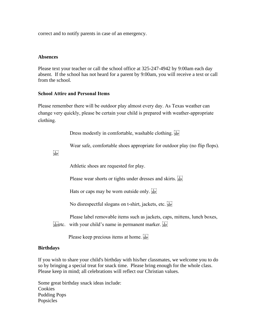correct and to notify parents in case of an emergency.

#### **Absences**

Please text your teacher or call the school office at 325-247-4942 by 9:00am each day absent. If the school has not heard for a parent by 9:00am, you will receive a text or call from the school.

#### **School Attire and Personal Items**

Please remember there will be outdoor play almost every day. As Texas weather can change very quickly, please be certain your child is prepared with weather-appropriate clothing.

Dress modestly in comfortable, washable clothing.

Wear safe, comfortable shoes appropriate for outdoor play (no flip flops).

 $SEP$ 

Athletic shoes are requested for play.

Please wear shorts or tights under dresses and skirts.

Hats or caps may be worn outside only.  $\frac{1}{25}$ 

No disrespectful slogans on t-shirt, jackets, etc.

Please label removable items such as jackets, caps, mittens, lunch boxes,  $\frac{1}{25}$ etc. with your child's name in permanent marker.

Please keep precious items at home.

#### **Birthdays**

If you wish to share your child's birthday with his/her classmates, we welcome you to do so by bringing a special treat for snack time. Please bring enough for the whole class. Please keep in mind; all celebrations will reflect our Christian values.

Some great birthday snack ideas include: Cookies Pudding Pops Popsicles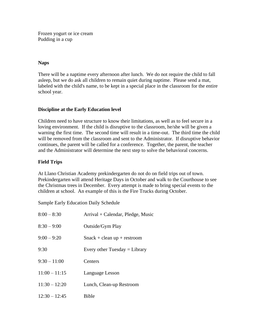Frozen yogurt or ice cream Pudding in a cup

### **Naps**

There will be a naptime every afternoon after lunch. We do not require the child to fall asleep, but we do ask all children to remain quiet during naptime. Please send a mat, labeled with the child's name, to be kept in a special place in the classroom for the entire school year.

## **Discipline at the Early Education level**

Children need to have structure to know their limitations, as well as to feel secure in a loving environment. If the child is disruptive to the classroom, he/she will be given a warning the first time. The second time will result in a time-out. The third time the child will be removed from the classroom and sent to the Administrator. If disruptive behavior continues, the parent will be called for a conference. Together, the parent, the teacher and the Administrator will determine the next step to solve the behavioral concerns.

## **Field Trips**

At Llano Christian Academy prekindergarten do not do on field trips out of town. Prekindergarten will attend Heritage Days in October and walk to the Courthouse to see the Christmas trees in December. Every attempt is made to bring special events to the children at school. An example of this is the Fire Trucks during October.

Sample Early Education Daily Schedule

| $8:00 - 8:30$   | Arrival + Calendar, Pledge, Music |
|-----------------|-----------------------------------|
| $8:30 - 9:00$   | Outside/Gym Play                  |
| $9:00 - 9:20$   | $Snack + clean up + restroom$     |
| 9:30            | Every other Tuesday $=$ Library   |
| $9:30 - 11:00$  | Centers                           |
| $11:00 - 11:15$ | Language Lesson                   |
| $11:30 - 12:20$ | Lunch, Clean-up Restroom          |
| $12:30 - 12:45$ | Bible                             |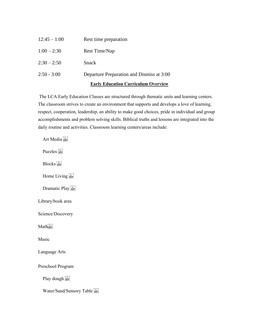|                | <b>Early Education Curriculum Overview</b> |
|----------------|--------------------------------------------|
| $2:50 - 3:00$  | Departure Preparation and Dismiss at 3:00  |
| $2:30 - 2:50$  | Snack                                      |
| $1:00 - 2:30$  | Rest Time/Nap                              |
| $12:45 - 1:00$ | Rest time preparation                      |

The LCA Early Education Classes are structured through thematic units and learning centers. The classroom strives to create an environment that supports and develops a love of learning, respect, cooperation, leadership, an ability to make good choices, pride in individual and group accomplishments and problem solving skills. Biblical truths and lessons are integrated into the daily routine and activities. Classroom learning centers/areas include:

Art Media Puzzles sep Blocks<sup>[17]</sup> Home Living Dramatic Play Library/book area Science/Discovery Math<sub>sEP</sub> Music Language Arts Preschool Program Play dough [1] Water/Sand/Sensory Table Fig.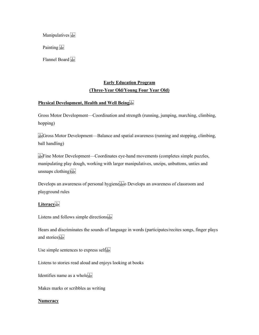Manipulatives see

Painting<sup>[17]</sup>

Flannel Board

## **Early Education Program (Three-Year Old/Young Four Year Old)**

#### **Physical Development, Health and Well Being**

Gross Motor Development—Coordination and strength (running, jumping, marching, climbing, hopping)

 $G_{\text{SEP}}$ Gross Motor Development—Balance and spatial awareness (running and stopping, climbing, ball handling)

Fine Motor Development—Coordinates eye-hand movements (completes simple puzzles, manipulating play dough, working with larger manipulatives, unzips, unbuttons, unties and unsnaps  $cloting[<sub>sep</sub>]$ 

Develops an awareness of personal hygiene<sup>[11]</sup> Develops an awareness of classroom and playground rules

## Literacy<sup>1</sup><sub>SEP</sub>

Listens and follows simple directions<sup>[17]</sup>

Hears and discriminates the sounds of language in words (participates/recites songs, finger plays and stories)<sup>[17]</sup>

Use simple sentences to express self $_{\rm sse}^{\rm F1}$ 

Listens to stories read aloud and enjoys looking at books

Identifies name as a whole<sup>[1]</sup>

Makes marks or scribbles as writing

#### **Numeracy**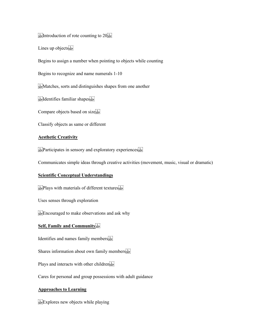$\frac{1}{15}$ Ep: Introduction of rote counting to  $20$ <sup>T</sup>

Lines up objects

Begins to assign a number when pointing to objects while counting

Begins to recognize and name numerals 1-10

 $\sum_{s \in P}$  Matches, sorts and distinguishes shapes from one another

**Istellentifies familiar shapes** 

Compare objects based on sizessen

Classify objects as same or different

#### **Aesthetic Creativity**

 $\sum_{s \in \mathcal{S}}$ Participates in sensory and exploratory experiences $\sum_{s \in \mathcal{S}}$ 

Communicates simple ideas through creative activities (movement, music, visual or dramatic)

#### **Scientific Conceptual Understandings**

 $\sum_{s \in P} P \text{layers with materials of different textures}$ 

Uses senses through exploration

Encouraged to make observations and ask why

#### **Self, Family and Community**

Identifies and names family members

Shares information about own family members see

Plays and interacts with other children

Cares for personal and group possessions with adult guidance

#### **Approaches to Learning**

Explores new objects while playing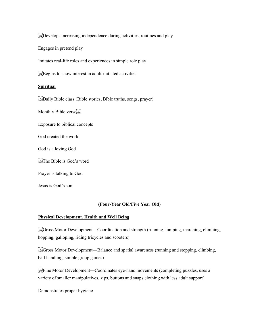Develops increasing independence during activities, routines and play

Engages in pretend play

Imitates real-life roles and experiences in simple role play

 $\sum_{s \in \mathcal{S}} B \geq \sum_{s \in \mathcal{S}} B$  is to show interest in adult-initiated activities

#### **Spiritual**

**EVALUATE:** Daily Bible class (Bible stories, Bible truths, songs, prayer)

Monthly Bible verses

Exposure to biblical concepts

God created the world

God is a loving God

 $\frac{1}{15}$ The Bible is God's word

Prayer is talking to God

Jesus is God's son

#### **(Four-Year Old/Five Year Old)**

#### **Physical Development, Health and Well Being**

 $\frac{G_1}{SE}$ Gross Motor Development—Coordination and strength (running, jumping, marching, climbing, hopping, galloping, riding tricycles and scooters)

 $\frac{G_1}{SE_2}$ Gross Motor Development—Balance and spatial awareness (running and stopping, climbing, ball handling, simple group games)

 $E_F$ Fine Motor Development—Coordinates eye-hand movements (completing puzzles, uses a variety of smaller manipulatives, zips, buttons and snaps clothing with less adult support)

Demonstrates proper hygiene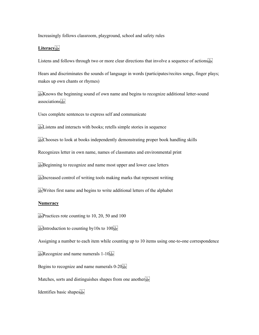#### Increasingly follows classroom, playground, school and safety rules

#### Literacy<sup>[1]</sup>

Listens and follows through two or more clear directions that involve a sequence of actions

Hears and discriminates the sounds of language in words (participates/recites songs, finger plays; makes up own chants or rhymes)

 $\frac{1}{2}$ Knows the beginning sound of own name and begins to recognize additional letter-sound associations<sup>[17]</sup>

Uses complete sentences to express self and communicate

 $\sum_{s \in \mathcal{S}}$  Listens and interacts with books; retells simple stories in sequence

EU Chooses to look at books independently demonstrating proper book handling skills

Recognizes letter in own name, names of classmates and environmental print

 $\Xi_{\text{SE}}^{\text{TE}}$ Beginning to recognize and name most upper and lower case letters

 $I_{\text{SEP}}^{\text{T}}$  increased control of writing tools making marks that represent writing

FIR Writes first name and begins to write additional letters of the alphabet

#### **Numeracy**

 $E_{\text{SEP}}^{\text{TT}}$ Practices rote counting to 10, 20, 50 and 100

 $I_{\text{SEP}}$ Introduction to counting by 10s to 100 $I_{\text{SEP}}$ 

Assigning a number to each item while counting up to 10 items using one-to-one correspondence

 $E_{\text{SEP}}^{\text{FT}}$ Recognize and name numerals 1-10 $E_{\text{SEP}}^{\text{FT}}$ 

Begins to recognize and name numerals  $0-20$ <sup>[1]</sup><sub>SEP</sub>]

Matches, sorts and distinguishes shapes from one anotherses

Identifies basic shapes<sup>[11]</sup>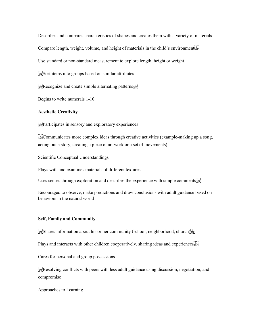Describes and compares characteristics of shapes and creates them with a variety of materials

Compare length, weight, volume, and height of materials in the child's environments

Use standard or non-standard measurement to explore length, height or weight

 $\sum_{s \in \mathbb{R}}$ Sort items into groups based on similar attributes

 $\sum_{s \in \mathbb{P}}$ Recognize and create simple alternating patterns  $\sum_{s \in \mathbb{P}}$ 

Begins to write numerals 1-10

#### **Aesthetic Creativity**

 $\sum_{s \in \mathbb{R}^n}$ Participates in sensory and exploratory experiences

 $\frac{1}{35}$ Communicates more complex ideas through creative activities (example-making up a song, acting out a story, creating a piece of art work or a set of movements)

Scientific Conceptual Understandings

Plays with and examines materials of different textures

Uses senses through exploration and describes the experience with simple comments sep

Encouraged to observe, make predictions and draw conclusions with adult guidance based on behaviors in the natural world

#### **Self, Family and Community**

 $\mathbb{S}_{\text{SEP}}^{\text{FIS}}$ Shares information about his or her community (school, neighborhood, church) $\mathbb{S}_{\text{SEP}}^{\text{FIS}}$ 

Plays and interacts with other children cooperatively, sharing ideas and experiences  $s_{\text{sep}}$ 

Cares for personal and group possessions

Resolving conflicts with peers with less adult guidance using discussion, negotiation, and compromise

Approaches to Learning